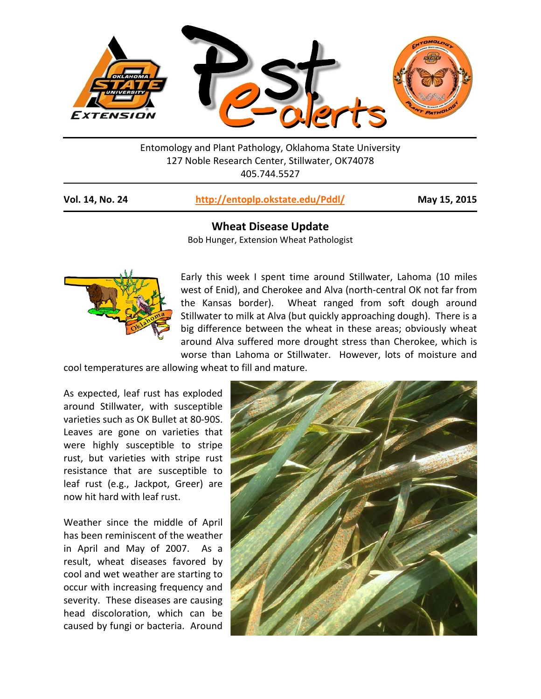

Entomology and Plant Pathology, Oklahoma State University 127 Noble Research Center, Stillwater, OK74078 405.744.5527

|  | <b>Vol. 14, No. 24</b> | http://entoplp.okstate.edu/Pddl/ |
|--|------------------------|----------------------------------|
|--|------------------------|----------------------------------|

**Vol. 14, No. 24 <http://entoplp.okstate.edu/Pddl/> May 15, 2015**

## **Wheat Disease Update**

Bob Hunger, Extension Wheat Pathologist



Early this week I spent time around Stillwater, Lahoma (10 miles west of Enid), and Cherokee and Alva (north-central OK not far from the Kansas border). Wheat ranged from soft dough around Stillwater to milk at Alva (but quickly approaching dough). There is a big difference between the wheat in these areas; obviously wheat around Alva suffered more drought stress than Cherokee, which is worse than Lahoma or Stillwater. However, lots of moisture and

cool temperatures are allowing wheat to fill and mature.

As expected, leaf rust has exploded around Stillwater, with susceptible varieties such as OK Bullet at 80-90S. Leaves are gone on varieties that were highly susceptible to stripe rust, but varieties with stripe rust resistance that are susceptible to leaf rust (e.g., Jackpot, Greer) are now hit hard with leaf rust.

Weather since the middle of April has been reminiscent of the weather in April and May of 2007. As a result, wheat diseases favored by cool and wet weather are starting to occur with increasing frequency and severity. These diseases are causing head discoloration, which can be caused by fungi or bacteria. Around